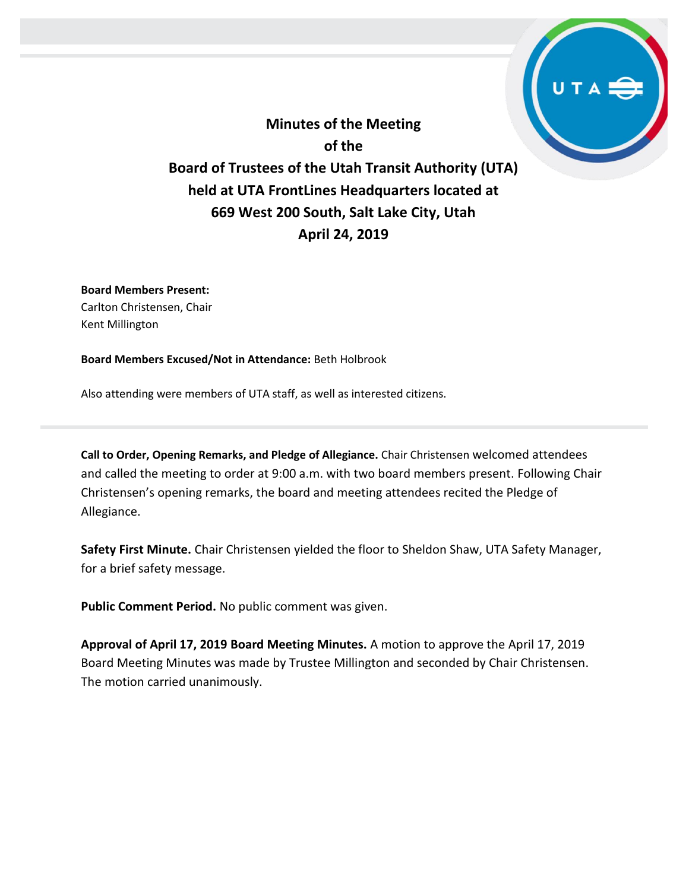**Minutes of the Meeting of the Board of Trustees of the Utah Transit Authority (UTA) held at UTA FrontLines Headquarters located at 669 West 200 South, Salt Lake City, Utah April 24, 2019**

**Board Members Present:** Carlton Christensen, Chair Kent Millington

**Board Members Excused/Not in Attendance:** Beth Holbrook

Also attending were members of UTA staff, as well as interested citizens.

**Call to Order, Opening Remarks, and Pledge of Allegiance.** Chair Christensen welcomed attendees and called the meeting to order at 9:00 a.m. with two board members present. Following Chair Christensen's opening remarks, the board and meeting attendees recited the Pledge of Allegiance.

**Safety First Minute.** Chair Christensen yielded the floor to Sheldon Shaw, UTA Safety Manager, for a brief safety message.

**Public Comment Period.** No public comment was given.

**Approval of April 17, 2019 Board Meeting Minutes.** A motion to approve the April 17, 2019 Board Meeting Minutes was made by Trustee Millington and seconded by Chair Christensen. The motion carried unanimously.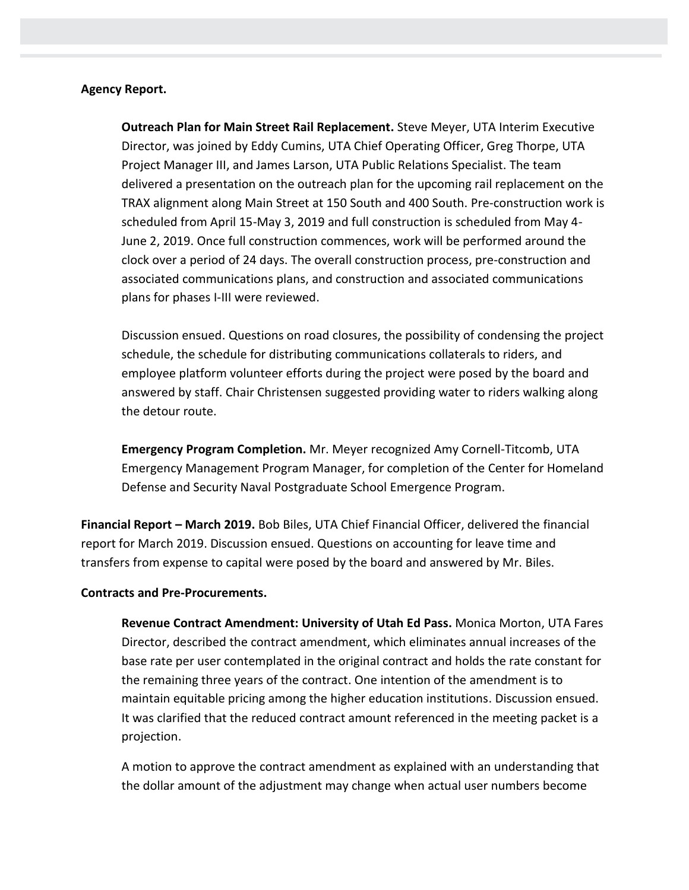## **Agency Report.**

**Outreach Plan for Main Street Rail Replacement.** Steve Meyer, UTA Interim Executive Director, was joined by Eddy Cumins, UTA Chief Operating Officer, Greg Thorpe, UTA Project Manager III, and James Larson, UTA Public Relations Specialist. The team delivered a presentation on the outreach plan for the upcoming rail replacement on the TRAX alignment along Main Street at 150 South and 400 South. Pre-construction work is scheduled from April 15-May 3, 2019 and full construction is scheduled from May 4- June 2, 2019. Once full construction commences, work will be performed around the clock over a period of 24 days. The overall construction process, pre-construction and associated communications plans, and construction and associated communications plans for phases I-III were reviewed.

Discussion ensued. Questions on road closures, the possibility of condensing the project schedule, the schedule for distributing communications collaterals to riders, and employee platform volunteer efforts during the project were posed by the board and answered by staff. Chair Christensen suggested providing water to riders walking along the detour route.

**Emergency Program Completion.** Mr. Meyer recognized Amy Cornell-Titcomb, UTA Emergency Management Program Manager, for completion of the Center for Homeland Defense and Security Naval Postgraduate School Emergence Program.

**Financial Report – March 2019.** Bob Biles, UTA Chief Financial Officer, delivered the financial report for March 2019. Discussion ensued. Questions on accounting for leave time and transfers from expense to capital were posed by the board and answered by Mr. Biles.

## **Contracts and Pre-Procurements.**

**Revenue Contract Amendment: University of Utah Ed Pass.** Monica Morton, UTA Fares Director, described the contract amendment, which eliminates annual increases of the base rate per user contemplated in the original contract and holds the rate constant for the remaining three years of the contract. One intention of the amendment is to maintain equitable pricing among the higher education institutions. Discussion ensued. It was clarified that the reduced contract amount referenced in the meeting packet is a projection.

A motion to approve the contract amendment as explained with an understanding that the dollar amount of the adjustment may change when actual user numbers become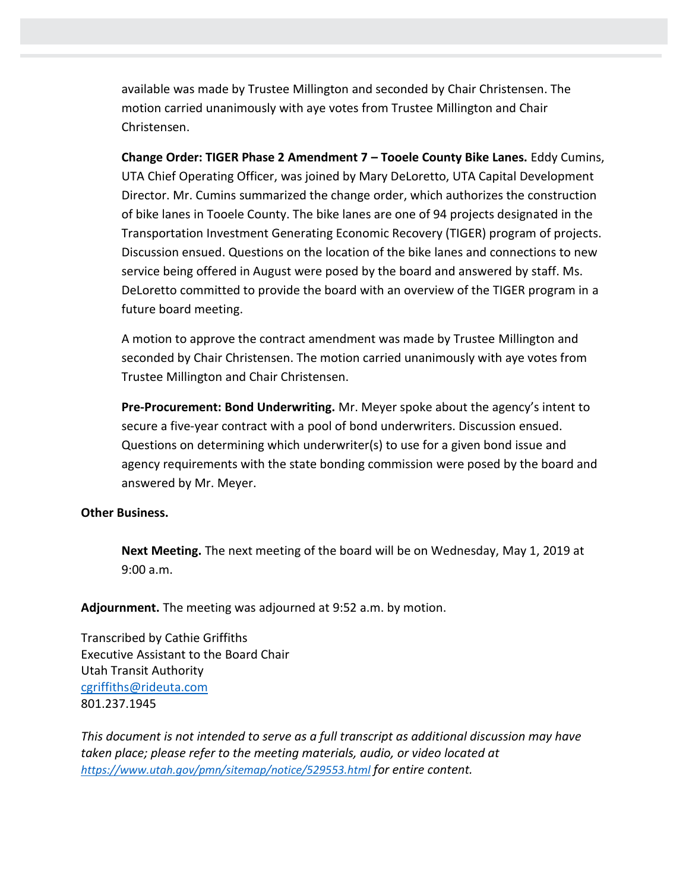available was made by Trustee Millington and seconded by Chair Christensen. The motion carried unanimously with aye votes from Trustee Millington and Chair Christensen.

**Change Order: TIGER Phase 2 Amendment 7 – Tooele County Bike Lanes.** Eddy Cumins, UTA Chief Operating Officer, was joined by Mary DeLoretto, UTA Capital Development Director. Mr. Cumins summarized the change order, which authorizes the construction of bike lanes in Tooele County. The bike lanes are one of 94 projects designated in the Transportation Investment Generating Economic Recovery (TIGER) program of projects. Discussion ensued. Questions on the location of the bike lanes and connections to new service being offered in August were posed by the board and answered by staff. Ms. DeLoretto committed to provide the board with an overview of the TIGER program in a future board meeting.

A motion to approve the contract amendment was made by Trustee Millington and seconded by Chair Christensen. The motion carried unanimously with aye votes from Trustee Millington and Chair Christensen.

**Pre-Procurement: Bond Underwriting.** Mr. Meyer spoke about the agency's intent to secure a five-year contract with a pool of bond underwriters. Discussion ensued. Questions on determining which underwriter(s) to use for a given bond issue and agency requirements with the state bonding commission were posed by the board and answered by Mr. Meyer.

## **Other Business.**

**Next Meeting.** The next meeting of the board will be on Wednesday, May 1, 2019 at 9:00 a.m.

**Adjournment.** The meeting was adjourned at 9:52 a.m. by motion.

Transcribed by Cathie Griffiths Executive Assistant to the Board Chair Utah Transit Authority [cgriffiths@rideuta.com](mailto:cgriffiths@rideuta.com) 801.237.1945

*This document is not intended to serve as a full transcript as additional discussion may have taken place; please refer to the meeting materials, audio, or video located at <https://www.utah.gov/pmn/sitemap/notice/529553.html> for entire content.*